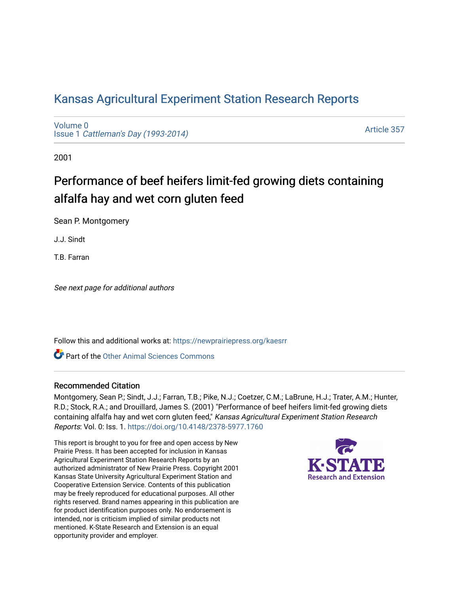## [Kansas Agricultural Experiment Station Research Reports](https://newprairiepress.org/kaesrr)

[Volume 0](https://newprairiepress.org/kaesrr/vol0) Issue 1 [Cattleman's Day \(1993-2014\)](https://newprairiepress.org/kaesrr/vol0/iss1) 

[Article 357](https://newprairiepress.org/kaesrr/vol0/iss1/357) 

2001

# Performance of beef heifers limit-fed growing diets containing alfalfa hay and wet corn gluten feed

Sean P. Montgomery

J.J. Sindt

T.B. Farran

See next page for additional authors

Follow this and additional works at: [https://newprairiepress.org/kaesrr](https://newprairiepress.org/kaesrr?utm_source=newprairiepress.org%2Fkaesrr%2Fvol0%2Fiss1%2F357&utm_medium=PDF&utm_campaign=PDFCoverPages) 

**C** Part of the [Other Animal Sciences Commons](http://network.bepress.com/hgg/discipline/82?utm_source=newprairiepress.org%2Fkaesrr%2Fvol0%2Fiss1%2F357&utm_medium=PDF&utm_campaign=PDFCoverPages)

#### Recommended Citation

Montgomery, Sean P.; Sindt, J.J.; Farran, T.B.; Pike, N.J.; Coetzer, C.M.; LaBrune, H.J.; Trater, A.M.; Hunter, R.D.; Stock, R.A.; and Drouillard, James S. (2001) "Performance of beef heifers limit-fed growing diets containing alfalfa hay and wet corn gluten feed," Kansas Agricultural Experiment Station Research Reports: Vol. 0: Iss. 1.<https://doi.org/10.4148/2378-5977.1760>

This report is brought to you for free and open access by New Prairie Press. It has been accepted for inclusion in Kansas Agricultural Experiment Station Research Reports by an authorized administrator of New Prairie Press. Copyright 2001 Kansas State University Agricultural Experiment Station and Cooperative Extension Service. Contents of this publication may be freely reproduced for educational purposes. All other rights reserved. Brand names appearing in this publication are for product identification purposes only. No endorsement is intended, nor is criticism implied of similar products not mentioned. K-State Research and Extension is an equal opportunity provider and employer.

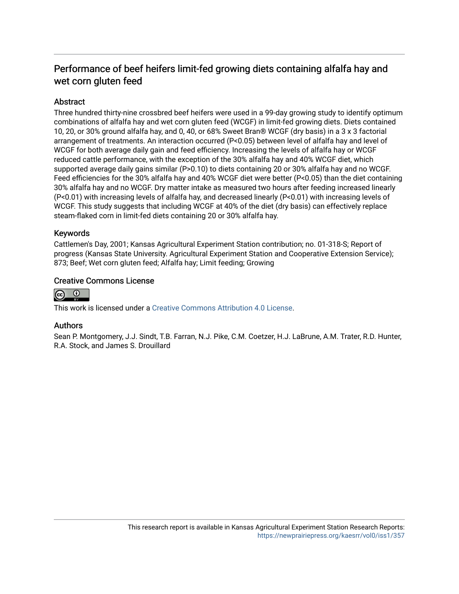### Performance of beef heifers limit-fed growing diets containing alfalfa hay and wet corn gluten feed

#### **Abstract**

Three hundred thirty-nine crossbred beef heifers were used in a 99-day growing study to identify optimum combinations of alfalfa hay and wet corn gluten feed (WCGF) in limit-fed growing diets. Diets contained 10, 20, or 30% ground alfalfa hay, and 0, 40, or 68% Sweet Bran® WCGF (dry basis) in a 3 x 3 factorial arrangement of treatments. An interaction occurred (P<0.05) between level of alfalfa hay and level of WCGF for both average daily gain and feed efficiency. Increasing the levels of alfalfa hay or WCGF reduced cattle performance, with the exception of the 30% alfalfa hay and 40% WCGF diet, which supported average daily gains similar (P>0.10) to diets containing 20 or 30% alfalfa hay and no WCGF. Feed efficiencies for the 30% alfalfa hay and 40% WCGF diet were better (P<0.05) than the diet containing 30% alfalfa hay and no WCGF. Dry matter intake as measured two hours after feeding increased linearly (P<0.01) with increasing levels of alfalfa hay, and decreased linearly (P<0.01) with increasing levels of WCGF. This study suggests that including WCGF at 40% of the diet (dry basis) can effectively replace steam-flaked corn in limit-fed diets containing 20 or 30% alfalfa hay.

#### Keywords

Cattlemen's Day, 2001; Kansas Agricultural Experiment Station contribution; no. 01-318-S; Report of progress (Kansas State University. Agricultural Experiment Station and Cooperative Extension Service); 873; Beef; Wet corn gluten feed; Alfalfa hay; Limit feeding; Growing

#### Creative Commons License



This work is licensed under a [Creative Commons Attribution 4.0 License](https://creativecommons.org/licenses/by/4.0/).

#### Authors

Sean P. Montgomery, J.J. Sindt, T.B. Farran, N.J. Pike, C.M. Coetzer, H.J. LaBrune, A.M. Trater, R.D. Hunter, R.A. Stock, and James S. Drouillard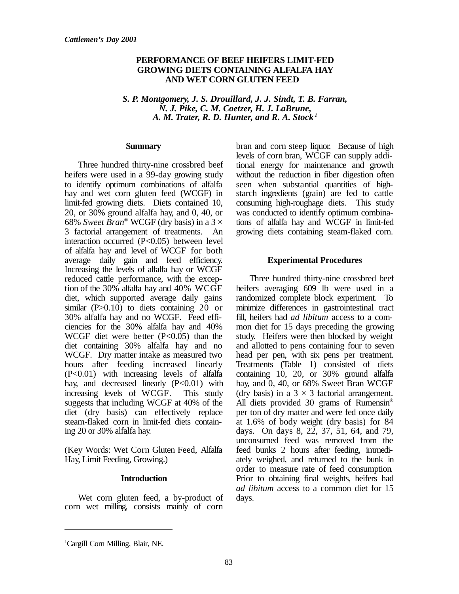#### **PERFORMANCE OF BEEF HEIFERS LIMIT-FED GROWING DIETS CONTAINING ALFALFA HAY AND WET CORN GLUTEN FEED**

 *S. P. Montgomery, J. S. Drouillard, J. J. Sindt, T. B. Farran, N. J. Pike, C. M. Coetzer, H. J. LaBrune, A. M. Trater, R. D. Hunter, and R. A. Stock <sup>1</sup>*

#### **Summary**

Three hundred thirty-nine crossbred beef heifers were used in a 99-day growing study to identify optimum combinations of alfalfa hay and wet corn gluten feed (WCGF) in limit-fed growing diets. Diets contained 10, 20, or 30% ground alfalfa hay, and 0, 40, or 68% *Sweet Bran*® WCGF (dry basis) in a 3 × 3 factorial arrangement of treatments. An interaction occurred (P<0.05) between level of alfalfa hay and level of WCGF for both average daily gain and feed efficiency. Increasing the levels of alfalfa hay or WCGF reduced cattle performance, with the exception of the 30% alfalfa hay and 40% WCGF diet, which supported average daily gains similar  $(P>0.10)$  to diets containing 20 or 30% alfalfa hay and no WCGF. Feed efficiencies for the 30% alfalfa hay and 40% WCGF diet were better  $(P<0.05)$  than the diet containing 30% alfalfa hay and no WCGF. Dry matter intake as measured two hours after feeding increased linearly  $(P<0.01)$  with increasing levels of alfalfa hay, and decreased linearly  $(P<0.01)$  with increasing levels of WCGF. This study suggests that including WCGF at 40% of the diet (dry basis) can effectively replace steam-flaked corn in limit-fed diets containing 20 or 30% alfalfa hay.

(Key Words: Wet Corn Gluten Feed, Alfalfa Hay, Limit Feeding, Growing.)

#### **Introduction**

Wet corn gluten feed, a by-product of corn wet milling, consists mainly of corn

bran and corn steep liquor. Because of high levels of corn bran, WCGF can supply additional energy for maintenance and growth without the reduction in fiber digestion often seen when substantial quantities of highstarch ingredients (grain) are fed to cattle consuming high-roughage diets. This study was conducted to identify optimum combinations of alfalfa hay and WCGF in limit-fed growing diets containing steam-flaked corn.

#### **Experimental Procedures**

Three hundred thirty-nine crossbred beef heifers averaging 609 lb were used in a randomized complete block experiment. To minimize differences in gastrointestinal tract fill, heifers had *ad libitum* access to a common diet for 15 days preceding the growing study. Heifers were then blocked by weight and allotted to pens containing four to seven head per pen, with six pens per treatment. Treatments (Table 1) consisted of diets containing 10, 20, or 30% ground alfalfa hay, and 0, 40, or 68% Sweet Bran WCGF (dry basis) in a  $3 \times 3$  factorial arrangement. All diets provided 30 grams of Rumensin® per ton of dry matter and were fed once daily at 1.6% of body weight (dry basis) for 84 days. On days 8, 22, 37, 51, 64, and 79, unconsumed feed was removed from the feed bunks 2 hours after feeding, immediately weighed, and returned to the bunk in order to measure rate of feed consumption. Prior to obtaining final weights, heifers had *ad libitum* access to a common diet for 15 days.

<sup>&</sup>lt;sup>1</sup>Cargill Corn Milling, Blair, NE.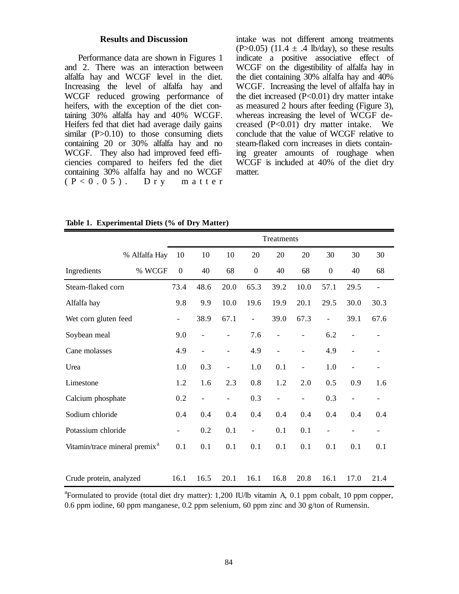#### **Results and Discussion**

Performance data are shown in Figures 1 and 2. There was an interaction between alfalfa hay and WCGF level in the diet. Increasing the level of alfalfa hay and WCGF reduced growing performance of heifers, with the exception of the diet containing 30% alfalfa hay and 40% WCGF. Heifers fed that diet had average daily gains similar  $(P>0.10)$  to those consuming diets containing 20 or 30% alfalfa hay and no WCGF. They also had improved feed efficiencies compared to heifers fed the diet containing 30% alfalfa hay and no WCGF  $(P < 0.05)$ . Dry matter

intake was not different among treatments  $(P>0.05)$  (11.4  $\pm$  .4 lb/day), so these results indicate a positive associative effect of WCGF on the digestibility of alfalfa hay in the diet containing 30% alfalfa hay and 40% WCGF. Increasing the level of alfalfa hay in the diet increased  $(P<0.01)$  dry matter intake as measured 2 hours after feeding (Figure 3), whereas increasing the level of WCGF decreased  $(P<0.01)$  dry matter intake. We conclude that the value of WCGF relative to steam-flaked corn increases in diets containing greater amounts of roughage when WCGF is included at 40% of the diet dry matter.

**Table 1. Experimental Diets (% of Dry Matter)**

|                                           |               | Treatments               |                          |                          |                   |                          |                          |                          |                          |                          |
|-------------------------------------------|---------------|--------------------------|--------------------------|--------------------------|-------------------|--------------------------|--------------------------|--------------------------|--------------------------|--------------------------|
|                                           | % Alfalfa Hay | 10                       | 10                       | 10                       | 20                | 20                       | 20                       | 30                       | 30                       | 30                       |
| Ingredients                               | % WCGF        | $\mathbf{0}$             | 40                       | 68                       | $\boldsymbol{0}$  | 40                       | 68                       | $\mathbf{0}$             | 40                       | 68                       |
| Steam-flaked corn                         |               | 73.4                     | 48.6                     | 20.0                     | 65.3              | 39.2                     | 10.0                     | 57.1                     | 29.5                     | $\overline{\phantom{0}}$ |
| Alfalfa hay                               |               | 9.8                      | 9.9                      | 10.0                     | 19.6              | 19.9                     | 20.1                     | 29.5                     | 30.0                     | 30.3                     |
| Wet corn gluten feed                      |               | $\overline{\phantom{0}}$ | 38.9                     | 67.1                     | $\overline{a}$    | 39.0                     | 67.3                     | $\overline{\phantom{0}}$ | 39.1                     | 67.6                     |
| Soybean meal                              |               | 9.0                      | $\overline{a}$           | $\overline{a}$           | 7.6               | $\overline{\phantom{a}}$ | $\overline{\phantom{0}}$ | 6.2                      | $\qquad \qquad -$        |                          |
| Cane molasses                             |               | 4.9                      | $\overline{a}$           | $\overline{a}$           | 4.9               | $\overline{\phantom{a}}$ | $\overline{\phantom{0}}$ | 4.9                      | $\overline{\phantom{a}}$ |                          |
| Urea                                      |               | 1.0                      | 0.3                      | $\overline{a}$           | 1.0               | 0.1                      | $\overline{\phantom{a}}$ | 1.0                      | $\overline{\phantom{a}}$ | $\overline{\phantom{0}}$ |
| Limestone                                 |               | 1.2                      | 1.6                      | 2.3                      | 0.8               | 1.2                      | 2.0                      | 0.5                      | 0.9                      | 1.6                      |
| Calcium phosphate                         |               | 0.2                      | $\overline{\phantom{0}}$ | $\overline{\phantom{0}}$ | 0.3               | $\overline{\phantom{0}}$ | $\overline{\phantom{0}}$ | 0.3                      | $\overline{\phantom{a}}$ | $\overline{\phantom{a}}$ |
| Sodium chloride                           |               | 0.4                      | 0.4                      | 0.4                      | 0.4               | 0.4                      | 0.4                      | 0.4                      | 0.4                      | 0.4                      |
| Potassium chloride                        |               |                          | 0.2                      | 0.1                      | $\qquad \qquad -$ | 0.1                      | 0.1                      | $\overline{a}$           |                          |                          |
| Vitamin/trace mineral premix <sup>a</sup> |               | 0.1                      | 0.1                      | 0.1                      | 0.1               | 0.1                      | 0.1                      | 0.1                      | 0.1                      | 0.1                      |
| Crude protein, analyzed                   |               | 16.1                     | 16.5                     | 20.1                     | 16.1              | 16.8                     | 20.8                     | 16.1                     | 17.0                     | 21.4                     |

<sup>a</sup>Formulated to provide (total diet dry matter): 1,200 IU/lb vitamin A, 0.1 ppm cobalt, 10 ppm copper, 0.6 ppm iodine, 60 ppm manganese, 0.2 ppm selenium, 60 ppm zinc and 30  $g$ /ton of Rumensin.